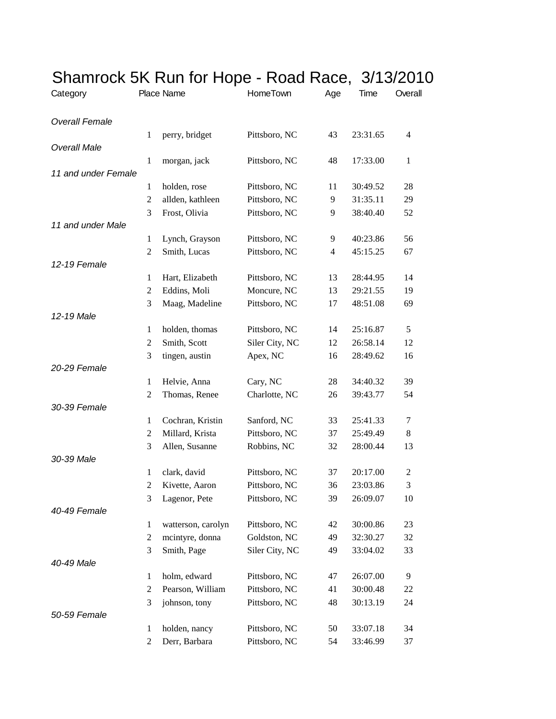| Category              |                | Place Name         | HomeTown       | Age | Time     | Overall        |
|-----------------------|----------------|--------------------|----------------|-----|----------|----------------|
| <b>Overall Female</b> |                |                    |                |     |          |                |
|                       | 1              | perry, bridget     | Pittsboro, NC  | 43  | 23:31.65 | $\overline{4}$ |
| <b>Overall Male</b>   |                |                    |                |     |          |                |
|                       | $\mathbf{1}$   | morgan, jack       | Pittsboro, NC  | 48  | 17:33.00 | $\mathbf{1}$   |
| 11 and under Female   |                |                    |                |     |          |                |
|                       | 1              | holden, rose       | Pittsboro, NC  | 11  | 30:49.52 | 28             |
|                       | 2              | allden, kathleen   | Pittsboro, NC  | 9   | 31:35.11 | 29             |
|                       | 3              | Frost, Olivia      | Pittsboro, NC  | 9   | 38:40.40 | 52             |
| 11 and under Male     |                |                    |                |     |          |                |
|                       | $\mathbf{1}$   | Lynch, Grayson     | Pittsboro, NC  | 9   | 40:23.86 | 56             |
|                       | 2              | Smith, Lucas       | Pittsboro, NC  | 4   | 45:15.25 | 67             |
| 12-19 Female          |                |                    |                |     |          |                |
|                       | $\mathbf{1}$   | Hart, Elizabeth    | Pittsboro, NC  | 13  | 28:44.95 | 14             |
|                       | 2              | Eddins, Moli       | Moncure, NC    | 13  | 29:21.55 | 19             |
|                       | 3              | Maag, Madeline     | Pittsboro, NC  | 17  | 48:51.08 | 69             |
| 12-19 Male            |                |                    |                |     |          |                |
|                       | $\mathbf{1}$   | holden, thomas     | Pittsboro, NC  | 14  | 25:16.87 | 5              |
|                       | $\overline{2}$ | Smith, Scott       | Siler City, NC | 12  | 26:58.14 | 12             |
|                       | 3              | tingen, austin     | Apex, NC       | 16  | 28:49.62 | 16             |
| 20-29 Female          |                |                    |                |     |          |                |
|                       | $\mathbf{1}$   | Helvie, Anna       | Cary, NC       | 28  | 34:40.32 | 39             |
| 30-39 Female          | 2              | Thomas, Renee      | Charlotte, NC  | 26  | 39:43.77 | 54             |
|                       | $\mathbf{1}$   | Cochran, Kristin   | Sanford, NC    | 33  | 25:41.33 | 7              |
|                       | 2              | Millard, Krista    | Pittsboro, NC  | 37  | 25:49.49 | 8              |
|                       | 3              | Allen, Susanne     | Robbins, NC    | 32  | 28:00.44 | 13             |
| 30-39 Male            |                |                    |                |     |          |                |
|                       | $\mathbf{1}$   | clark, david       | Pittsboro, NC  | 37  | 20:17.00 | 2              |
|                       | $\overline{2}$ | Kivette, Aaron     | Pittsboro, NC  | 36  | 23:03.86 | 3              |
|                       | 3              | Lagenor, Pete      | Pittsboro, NC  | 39  | 26:09.07 | 10             |
| 40-49 Female          |                |                    |                |     |          |                |
|                       | $\mathbf{1}$   | watterson, carolyn | Pittsboro, NC  | 42  | 30:00.86 | 23             |
|                       | $\overline{2}$ | mcintyre, donna    | Goldston, NC   | 49  | 32:30.27 | 32             |
|                       | 3              | Smith, Page        | Siler City, NC | 49  | 33:04.02 | 33             |
| 40-49 Male            |                |                    |                |     |          |                |
|                       | $\mathbf{1}$   | holm, edward       | Pittsboro, NC  | 47  | 26:07.00 | 9              |
|                       | $\overline{c}$ | Pearson, William   | Pittsboro, NC  | 41  | 30:00.48 | 22             |
|                       | 3              | johnson, tony      | Pittsboro, NC  | 48  | 30:13.19 | 24             |
| 50-59 Female          |                |                    |                |     |          |                |
|                       | 1              | holden, nancy      | Pittsboro, NC  | 50  | 33:07.18 | 34             |
|                       | 2              | Derr, Barbara      | Pittsboro, NC  | 54  | 33:46.99 | 37             |

## Shamrock 5K Run for Hope - Road Race, 3/13/2010